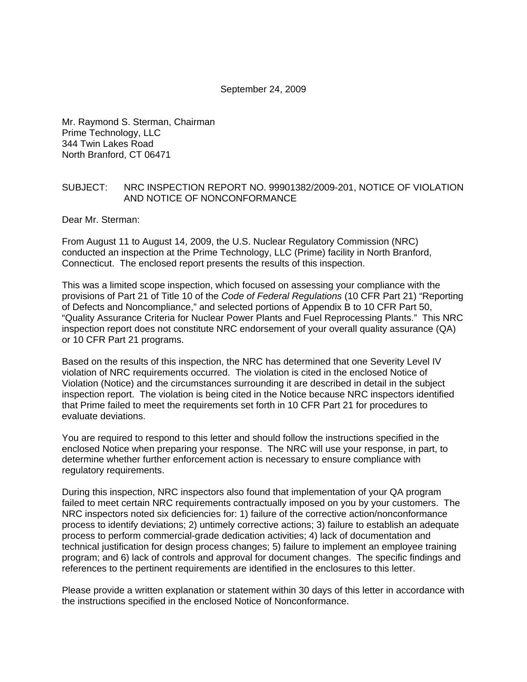#### September 24, 2009

Mr. Raymond S. Sterman, Chairman Prime Technology, LLC 344 Twin Lakes Road North Branford, CT 06471

### SUBJECT: NRC INSPECTION REPORT NO. 99901382/2009-201, NOTICE OF VIOLATION AND NOTICE OF NONCONFORMANCE

Dear Mr. Sterman:

From August 11 to August 14, 2009, the U.S. Nuclear Regulatory Commission (NRC) conducted an inspection at the Prime Technology, LLC (Prime) facility in North Branford, Connecticut. The enclosed report presents the results of this inspection.

This was a limited scope inspection, which focused on assessing your compliance with the provisions of Part 21 of Title 10 of the *Code of Federal Regulations* (10 CFR Part 21) "Reporting of Defects and Noncompliance," and selected portions of Appendix B to 10 CFR Part 50, "Quality Assurance Criteria for Nuclear Power Plants and Fuel Reprocessing Plants." This NRC inspection report does not constitute NRC endorsement of your overall quality assurance (QA) or 10 CFR Part 21 programs.

Based on the results of this inspection, the NRC has determined that one Severity Level IV violation of NRC requirements occurred. The violation is cited in the enclosed Notice of Violation (Notice) and the circumstances surrounding it are described in detail in the subject inspection report. The violation is being cited in the Notice because NRC inspectors identified that Prime failed to meet the requirements set forth in 10 CFR Part 21 for procedures to evaluate deviations.

You are required to respond to this letter and should follow the instructions specified in the enclosed Notice when preparing your response. The NRC will use your response, in part, to determine whether further enforcement action is necessary to ensure compliance with regulatory requirements.

During this inspection, NRC inspectors also found that implementation of your QA program failed to meet certain NRC requirements contractually imposed on you by your customers. The NRC inspectors noted six deficiencies for: 1) failure of the corrective action/nonconformance process to identify deviations; 2) untimely corrective actions; 3) failure to establish an adequate process to perform commercial-grade dedication activities; 4) lack of documentation and technical justification for design process changes; 5) failure to implement an employee training program; and 6) lack of controls and approval for document changes. The specific findings and references to the pertinent requirements are identified in the enclosures to this letter.

Please provide a written explanation or statement within 30 days of this letter in accordance with the instructions specified in the enclosed Notice of Nonconformance.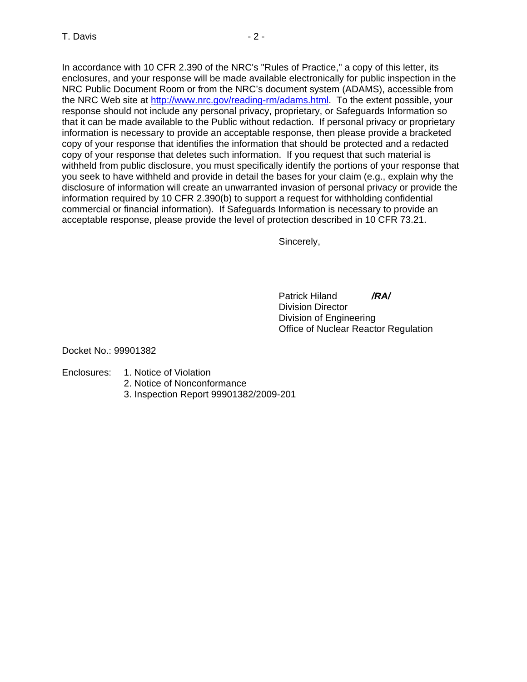In accordance with 10 CFR 2.390 of the NRC's "Rules of Practice," a copy of this letter, its enclosures, and your response will be made available electronically for public inspection in the NRC Public Document Room or from the NRC's document system (ADAMS), accessible from the NRC Web site at [http://www.nrc.gov/reading-rm/adams.html.](http://www.nrc.gov/reading-rm/adams.html) To the extent possible, your response should not include any personal privacy, proprietary, or Safeguards Information so that it can be made available to the Public without redaction. If personal privacy or proprietary information is necessary to provide an acceptable response, then please provide a bracketed copy of your response that identifies the information that should be protected and a redacted copy of your response that deletes such information. If you request that such material is withheld from public disclosure, you must specifically identify the portions of your response that you seek to have withheld and provide in detail the bases for your claim (e.g., explain why the disclosure of information will create an unwarranted invasion of personal privacy or provide the information required by 10 CFR 2.390(b) to support a request for withholding confidential commercial or financial information). If Safeguards Information is necessary to provide an acceptable response, please provide the level of protection described in 10 CFR 73.21.

Sincerely,

 Patrick Hiland */RA/* Division Director Division of Engineering Office of Nuclear Reactor Regulation

Docket No.: 99901382

- Enclosures: 1. Notice of Violation
	- 2. Notice of Nonconformance
	- 3. Inspection Report 99901382/2009-201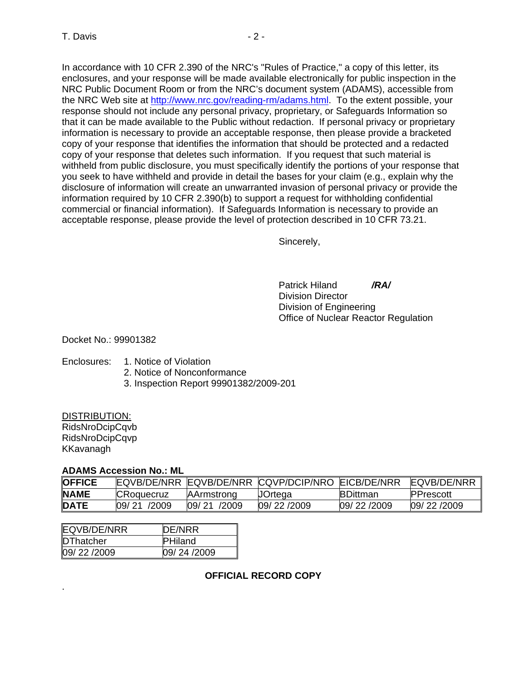In accordance with 10 CFR 2.390 of the NRC's "Rules of Practice," a copy of this letter, its enclosures, and your response will be made available electronically for public inspection in the NRC Public Document Room or from the NRC's document system (ADAMS), accessible from the NRC Web site at [http://www.nrc.gov/reading-rm/adams.html.](http://www.nrc.gov/reading-rm/adams.html) To the extent possible, your response should not include any personal privacy, proprietary, or Safeguards Information so that it can be made available to the Public without redaction. If personal privacy or proprietary information is necessary to provide an acceptable response, then please provide a bracketed copy of your response that identifies the information that should be protected and a redacted copy of your response that deletes such information. If you request that such material is withheld from public disclosure, you must specifically identify the portions of your response that you seek to have withheld and provide in detail the bases for your claim (e.g., explain why the disclosure of information will create an unwarranted invasion of personal privacy or provide the information required by 10 CFR 2.390(b) to support a request for withholding confidential commercial or financial information). If Safeguards Information is necessary to provide an acceptable response, please provide the level of protection described in 10 CFR 73.21.

Sincerely,

 Patrick Hiland */RA/* Division Director Division of Engineering Office of Nuclear Reactor Regulation

## Docket No.: 99901382

# Enclosures: 1. Notice of Violation

- 2. Notice of Nonconformance
- 3. Inspection Report 99901382/2009-201

# DISTRIBUTION:

RidsNroDcipCqvb RidsNroDcipCqvp KKavanagh

.

### **ADAMS Accession No.: ML**

| <b>OFFICE</b> |                   |                   | EQVB/DE/NRR EQVB/DE/NRR CQVP/DCIP/NRO EICB/DE/NRR |                 | <b>EQVB/DE/NRR</b> |
|---------------|-------------------|-------------------|---------------------------------------------------|-----------------|--------------------|
| <b>NAME</b>   | <b>CRoquecruz</b> | <b>AArmstrong</b> | JOrtega                                           | <b>BDittman</b> | <b>IPPrescott</b>  |
| <b>DATE</b>   | 09/21 /2009       | 09/21<br>/2009    | 09/22/2009                                        | 09/22/2009      | 09/22/2009         |

| EQVB/DE/NRR | DE/NRR         |
|-------------|----------------|
| DThatcher   | <b>PHiland</b> |
| 09/22/2009  | 09/24/2009     |

**OFFICIAL RECORD COPY**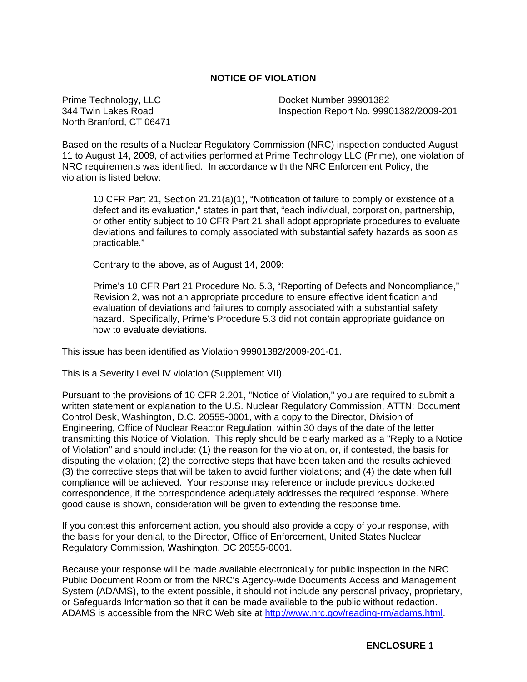## **NOTICE OF VIOLATION**

Prime Technology, LLC Docket Number 99901382 North Branford, CT 06471

344 Twin Lakes Road Inspection Report No. 99901382/2009-201

Based on the results of a Nuclear Regulatory Commission (NRC) inspection conducted August 11 to August 14, 2009, of activities performed at Prime Technology LLC (Prime), one violation of NRC requirements was identified. In accordance with the NRC Enforcement Policy, the violation is listed below:

10 CFR Part 21, Section 21.21(a)(1), "Notification of failure to comply or existence of a defect and its evaluation," states in part that, "each individual, corporation, partnership, or other entity subject to 10 CFR Part 21 shall adopt appropriate procedures to evaluate deviations and failures to comply associated with substantial safety hazards as soon as practicable."

Contrary to the above, as of August 14, 2009:

Prime's 10 CFR Part 21 Procedure No. 5.3, "Reporting of Defects and Noncompliance," Revision 2, was not an appropriate procedure to ensure effective identification and evaluation of deviations and failures to comply associated with a substantial safety hazard. Specifically, Prime's Procedure 5.3 did not contain appropriate guidance on how to evaluate deviations.

This issue has been identified as Violation 99901382/2009-201-01.

This is a Severity Level IV violation (Supplement VII).

Pursuant to the provisions of 10 CFR 2.201, "Notice of Violation," you are required to submit a written statement or explanation to the U.S. Nuclear Regulatory Commission, ATTN: Document Control Desk, Washington, D.C. 20555-0001, with a copy to the Director, Division of Engineering, Office of Nuclear Reactor Regulation, within 30 days of the date of the letter transmitting this Notice of Violation. This reply should be clearly marked as a "Reply to a Notice of Violation" and should include: (1) the reason for the violation, or, if contested, the basis for disputing the violation; (2) the corrective steps that have been taken and the results achieved; (3) the corrective steps that will be taken to avoid further violations; and (4) the date when full compliance will be achieved. Your response may reference or include previous docketed correspondence, if the correspondence adequately addresses the required response. Where good cause is shown, consideration will be given to extending the response time.

If you contest this enforcement action, you should also provide a copy of your response, with the basis for your denial, to the Director, Office of Enforcement, United States Nuclear Regulatory Commission, Washington, DC 20555-0001.

Because your response will be made available electronically for public inspection in the NRC Public Document Room or from the NRC's Agency-wide Documents Access and Management System (ADAMS), to the extent possible, it should not include any personal privacy, proprietary, or Safeguards Information so that it can be made available to the public without redaction. ADAMS is accessible from the NRC Web site at [http://www.nrc.gov/reading-rm/adams.html.](http://www.nrc.gov/reading-rm/adams.html)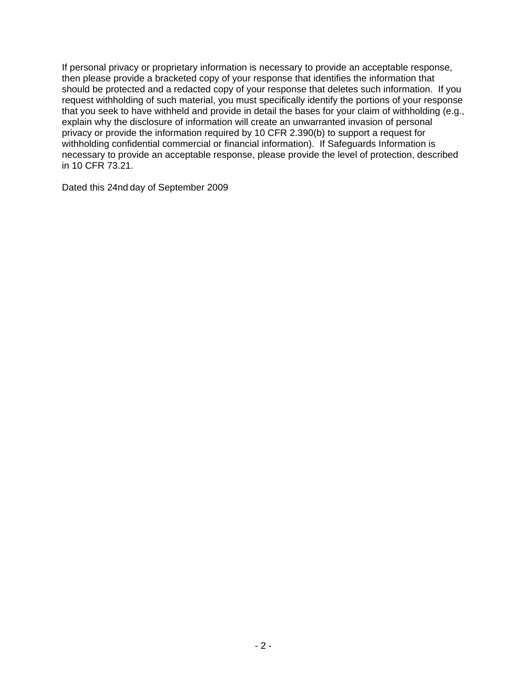If personal privacy or proprietary information is necessary to provide an acceptable response, then please provide a bracketed copy of your response that identifies the information that should be protected and a redacted copy of your response that deletes such information. If you request withholding of such material, you must specifically identify the portions of your response that you seek to have withheld and provide in detail the bases for your claim of withholding (e.g., explain why the disclosure of information will create an unwarranted invasion of personal privacy or provide the information required by 10 CFR 2.390(b) to support a request for withholding confidential commercial or financial information). If Safeguards Information is necessary to provide an acceptable response, please provide the level of protection, described in 10 CFR 73.21.

Dated this 24nd day of September 2009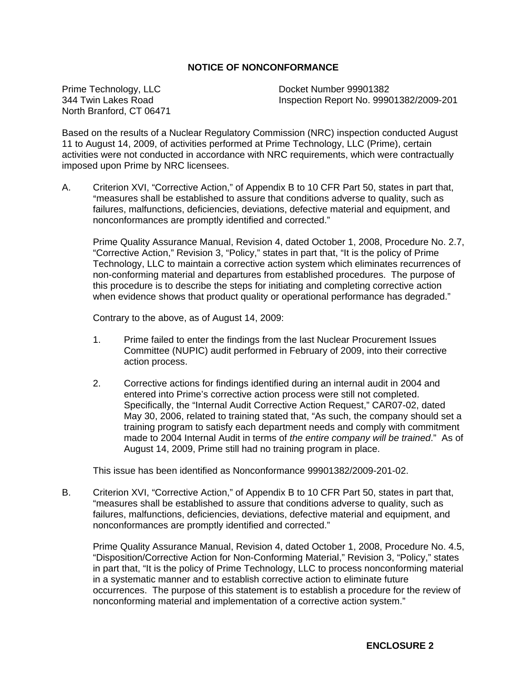# **NOTICE OF NONCONFORMANCE**

Prime Technology, LLC 344 Twin Lakes Road North Branford, CT 06471 Docket Number 99901382 Inspection Report No. 99901382/2009-201

Based on the results of a Nuclear Regulatory Commission (NRC) inspection conducted August 11 to August 14, 2009, of activities performed at Prime Technology, LLC (Prime), certain activities were not conducted in accordance with NRC requirements, which were contractually imposed upon Prime by NRC licensees.

A. Criterion XVI, "Corrective Action," of Appendix B to 10 CFR Part 50, states in part that, "measures shall be established to assure that conditions adverse to quality, such as failures, malfunctions, deficiencies, deviations, defective material and equipment, and nonconformances are promptly identified and corrected."

Prime Quality Assurance Manual, Revision 4, dated October 1, 2008, Procedure No. 2.7, "Corrective Action," Revision 3, "Policy," states in part that, "It is the policy of Prime Technology, LLC to maintain a corrective action system which eliminates recurrences of non-conforming material and departures from established procedures. The purpose of this procedure is to describe the steps for initiating and completing corrective action when evidence shows that product quality or operational performance has degraded."

Contrary to the above, as of August 14, 2009:

- 1. Prime failed to enter the findings from the last Nuclear Procurement Issues Committee (NUPIC) audit performed in February of 2009, into their corrective action process.
- 2. Corrective actions for findings identified during an internal audit in 2004 and entered into Prime's corrective action process were still not completed. Specifically, the "Internal Audit Corrective Action Request," CAR07-02, dated May 30, 2006, related to training stated that, "As such, the company should set a training program to satisfy each department needs and comply with commitment made to 2004 Internal Audit in terms of *the entire company will be trained*." As of August 14, 2009, Prime still had no training program in place.

This issue has been identified as Nonconformance 99901382/2009-201-02.

B. Criterion XVI, "Corrective Action," of Appendix B to 10 CFR Part 50, states in part that, "measures shall be established to assure that conditions adverse to quality, such as failures, malfunctions, deficiencies, deviations, defective material and equipment, and nonconformances are promptly identified and corrected."

Prime Quality Assurance Manual, Revision 4, dated October 1, 2008, Procedure No. 4.5, "Disposition/Corrective Action for Non-Conforming Material," Revision 3, "Policy," states in part that, "It is the policy of Prime Technology, LLC to process nonconforming material in a systematic manner and to establish corrective action to eliminate future occurrences. The purpose of this statement is to establish a procedure for the review of nonconforming material and implementation of a corrective action system."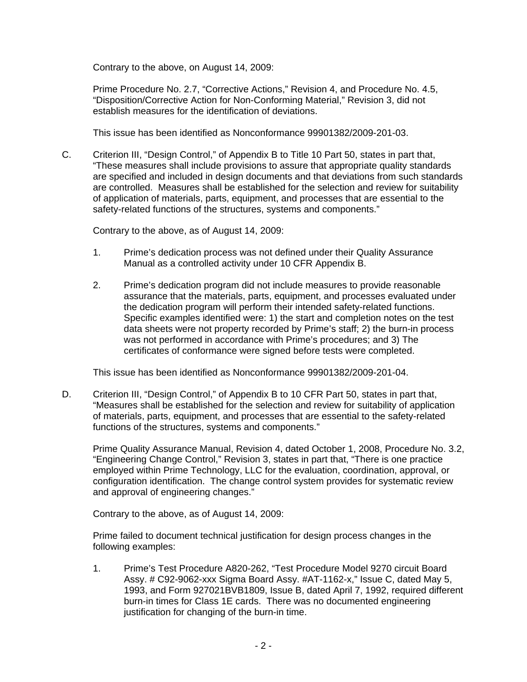Contrary to the above, on August 14, 2009:

Prime Procedure No. 2.7, "Corrective Actions," Revision 4, and Procedure No. 4.5, "Disposition/Corrective Action for Non-Conforming Material," Revision 3, did not establish measures for the identification of deviations.

This issue has been identified as Nonconformance 99901382/2009-201-03.

C. Criterion III, "Design Control," of Appendix B to Title 10 Part 50, states in part that, "These measures shall include provisions to assure that appropriate quality standards are specified and included in design documents and that deviations from such standards are controlled. Measures shall be established for the selection and review for suitability of application of materials, parts, equipment, and processes that are essential to the safety-related functions of the structures, systems and components."

Contrary to the above, as of August 14, 2009:

- 1. Prime's dedication process was not defined under their Quality Assurance Manual as a controlled activity under 10 CFR Appendix B.
- 2. Prime's dedication program did not include measures to provide reasonable assurance that the materials, parts, equipment, and processes evaluated under the dedication program will perform their intended safety-related functions. Specific examples identified were: 1) the start and completion notes on the test data sheets were not property recorded by Prime's staff; 2) the burn-in process was not performed in accordance with Prime's procedures; and 3) The certificates of conformance were signed before tests were completed.

This issue has been identified as Nonconformance 99901382/2009-201-04.

D. Criterion III, "Design Control," of Appendix B to 10 CFR Part 50, states in part that, "Measures shall be established for the selection and review for suitability of application of materials, parts, equipment, and processes that are essential to the safety-related functions of the structures, systems and components."

Prime Quality Assurance Manual, Revision 4, dated October 1, 2008, Procedure No. 3.2, "Engineering Change Control," Revision 3, states in part that, "There is one practice employed within Prime Technology, LLC for the evaluation, coordination, approval, or configuration identification. The change control system provides for systematic review and approval of engineering changes."

Contrary to the above, as of August 14, 2009:

Prime failed to document technical justification for design process changes in the following examples:

1. Prime's Test Procedure A820-262, "Test Procedure Model 9270 circuit Board Assy. # C92-9062-xxx Sigma Board Assy. #AT-1162-x," Issue C, dated May 5, 1993, and Form 927021BVB1809, Issue B, dated April 7, 1992, required different burn-in times for Class 1E cards. There was no documented engineering justification for changing of the burn-in time.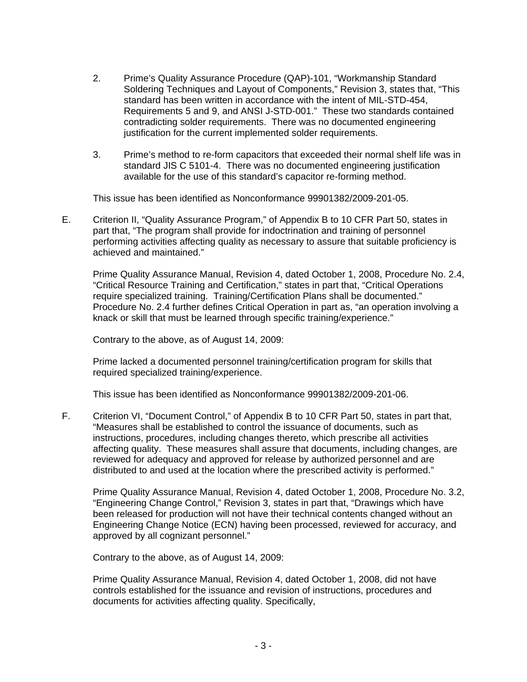- 2. Prime's Quality Assurance Procedure (QAP)-101, "Workmanship Standard Soldering Techniques and Layout of Components," Revision 3, states that, "This standard has been written in accordance with the intent of MIL-STD-454, Requirements 5 and 9, and ANSI J-STD-001." These two standards contained contradicting solder requirements. There was no documented engineering justification for the current implemented solder requirements.
- 3. Prime's method to re-form capacitors that exceeded their normal shelf life was in standard JIS C 5101-4. There was no documented engineering justification available for the use of this standard's capacitor re-forming method.

This issue has been identified as Nonconformance 99901382/2009-201-05.

E. Criterion II, "Quality Assurance Program," of Appendix B to 10 CFR Part 50, states in part that, "The program shall provide for indoctrination and training of personnel performing activities affecting quality as necessary to assure that suitable proficiency is achieved and maintained."

Prime Quality Assurance Manual, Revision 4, dated October 1, 2008, Procedure No. 2.4, "Critical Resource Training and Certification," states in part that, "Critical Operations require specialized training. Training/Certification Plans shall be documented." Procedure No. 2.4 further defines Critical Operation in part as, "an operation involving a knack or skill that must be learned through specific training/experience."

Contrary to the above, as of August 14, 2009:

Prime lacked a documented personnel training/certification program for skills that required specialized training/experience.

This issue has been identified as Nonconformance 99901382/2009-201-06.

F. Criterion VI, "Document Control," of Appendix B to 10 CFR Part 50, states in part that, "Measures shall be established to control the issuance of documents, such as instructions, procedures, including changes thereto, which prescribe all activities affecting quality. These measures shall assure that documents, including changes, are reviewed for adequacy and approved for release by authorized personnel and are distributed to and used at the location where the prescribed activity is performed."

Prime Quality Assurance Manual, Revision 4, dated October 1, 2008, Procedure No. 3.2, "Engineering Change Control," Revision 3, states in part that, "Drawings which have been released for production will not have their technical contents changed without an Engineering Change Notice (ECN) having been processed, reviewed for accuracy, and approved by all cognizant personnel."

Contrary to the above, as of August 14, 2009:

Prime Quality Assurance Manual, Revision 4, dated October 1, 2008, did not have controls established for the issuance and revision of instructions, procedures and documents for activities affecting quality. Specifically,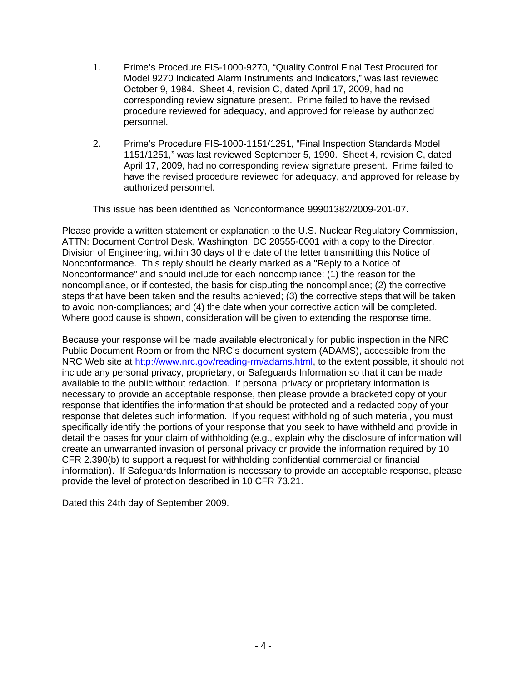- 1. Prime's Procedure FIS-1000-9270, "Quality Control Final Test Procured for Model 9270 Indicated Alarm Instruments and Indicators," was last reviewed October 9, 1984. Sheet 4, revision C, dated April 17, 2009, had no corresponding review signature present. Prime failed to have the revised procedure reviewed for adequacy, and approved for release by authorized personnel.
- 2. Prime's Procedure FIS-1000-1151/1251, "Final Inspection Standards Model 1151/1251," was last reviewed September 5, 1990. Sheet 4, revision C, dated April 17, 2009, had no corresponding review signature present. Prime failed to have the revised procedure reviewed for adequacy, and approved for release by authorized personnel.

This issue has been identified as Nonconformance 99901382/2009-201-07.

Please provide a written statement or explanation to the U.S. Nuclear Regulatory Commission, ATTN: Document Control Desk, Washington, DC 20555-0001 with a copy to the Director, Division of Engineering, within 30 days of the date of the letter transmitting this Notice of Nonconformance. This reply should be clearly marked as a "Reply to a Notice of Nonconformance" and should include for each noncompliance: (1) the reason for the noncompliance, or if contested, the basis for disputing the noncompliance; (2) the corrective steps that have been taken and the results achieved; (3) the corrective steps that will be taken to avoid non-compliances; and (4) the date when your corrective action will be completed. Where good cause is shown, consideration will be given to extending the response time.

Because your response will be made available electronically for public inspection in the NRC Public Document Room or from the NRC's document system (ADAMS), accessible from the NRC Web site at <http://www.nrc.gov/reading-rm/adams.html>, to the extent possible, it should not include any personal privacy, proprietary, or Safeguards Information so that it can be made available to the public without redaction. If personal privacy or proprietary information is necessary to provide an acceptable response, then please provide a bracketed copy of your response that identifies the information that should be protected and a redacted copy of your response that deletes such information. If you request withholding of such material, you must specifically identify the portions of your response that you seek to have withheld and provide in detail the bases for your claim of withholding (e.g., explain why the disclosure of information will create an unwarranted invasion of personal privacy or provide the information required by 10 CFR 2.390(b) to support a request for withholding confidential commercial or financial information). If Safeguards Information is necessary to provide an acceptable response, please provide the level of protection described in 10 CFR 73.21.

Dated this 24th day of September 2009.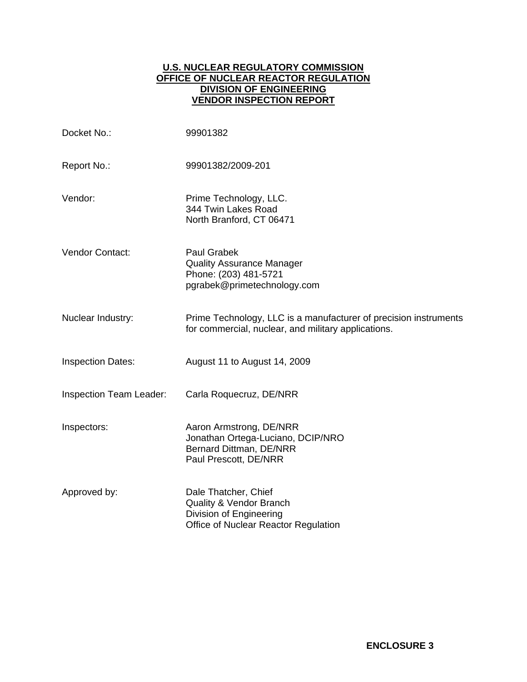# **U.S. NUCLEAR REGULATORY COMMISSION OFFICE OF NUCLEAR REACTOR REGULATION DIVISION OF ENGINEERING VENDOR INSPECTION REPORT**

| Docket No.:              | 99901382                                                                                                                      |
|--------------------------|-------------------------------------------------------------------------------------------------------------------------------|
| Report No.:              | 99901382/2009-201                                                                                                             |
| Vendor:                  | Prime Technology, LLC.<br>344 Twin Lakes Road<br>North Branford, CT 06471                                                     |
| Vendor Contact:          | <b>Paul Grabek</b><br><b>Quality Assurance Manager</b><br>Phone: (203) 481-5721<br>pgrabek@primetechnology.com                |
| Nuclear Industry:        | Prime Technology, LLC is a manufacturer of precision instruments<br>for commercial, nuclear, and military applications.       |
| <b>Inspection Dates:</b> | August 11 to August 14, 2009                                                                                                  |
| Inspection Team Leader:  | Carla Roquecruz, DE/NRR                                                                                                       |
| Inspectors:              | Aaron Armstrong, DE/NRR<br>Jonathan Ortega-Luciano, DCIP/NRO<br>Bernard Dittman, DE/NRR<br>Paul Prescott, DE/NRR              |
| Approved by:             | Dale Thatcher, Chief<br><b>Quality &amp; Vendor Branch</b><br>Division of Engineering<br>Office of Nuclear Reactor Regulation |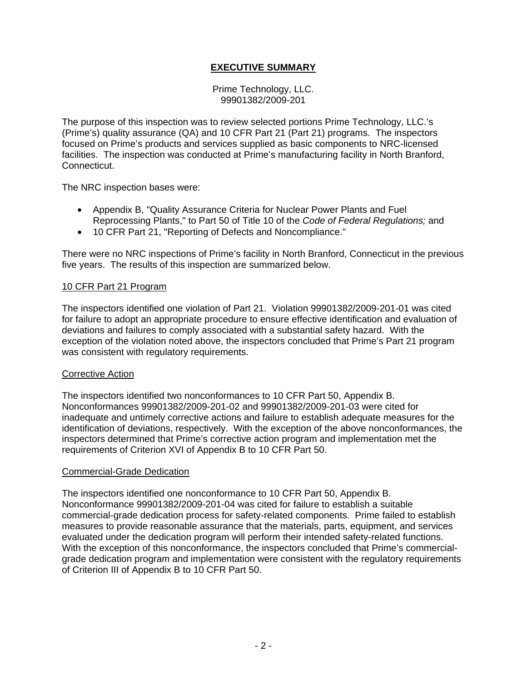# **EXECUTIVE SUMMARY**

Prime Technology, LLC. 99901382/2009-201

The purpose of this inspection was to review selected portions Prime Technology, LLC.'s (Prime's) quality assurance (QA) and 10 CFR Part 21 (Part 21) programs. The inspectors focused on Prime's products and services supplied as basic components to NRC-licensed facilities. The inspection was conducted at Prime's manufacturing facility in North Branford, Connecticut.

The NRC inspection bases were:

- Appendix B, "Quality Assurance Criteria for Nuclear Power Plants and Fuel Reprocessing Plants," to Part 50 of Title 10 of the *Code of Federal Regulations;* and
- 10 CFR Part 21, "Reporting of Defects and Noncompliance."

There were no NRC inspections of Prime's facility in North Branford, Connecticut in the previous five years. The results of this inspection are summarized below.

### 10 CFR Part 21 Program

The inspectors identified one violation of Part 21. Violation 99901382/2009-201-01 was cited for failure to adopt an appropriate procedure to ensure effective identification and evaluation of deviations and failures to comply associated with a substantial safety hazard. With the exception of the violation noted above, the inspectors concluded that Prime's Part 21 program was consistent with regulatory requirements.

### Corrective Action

The inspectors identified two nonconformances to 10 CFR Part 50, Appendix B. Nonconformances 99901382/2009-201-02 and 99901382/2009-201-03 were cited for inadequate and untimely corrective actions and failure to establish adequate measures for the identification of deviations, respectively. With the exception of the above nonconformances, the inspectors determined that Prime's corrective action program and implementation met the requirements of Criterion XVI of Appendix B to 10 CFR Part 50.

### Commercial-Grade Dedication

The inspectors identified one nonconformance to 10 CFR Part 50, Appendix B. Nonconformance 99901382/2009-201-04 was cited for failure to establish a suitable commercial-grade dedication process for safety-related components. Prime failed to establish measures to provide reasonable assurance that the materials, parts, equipment, and services evaluated under the dedication program will perform their intended safety-related functions. With the exception of this nonconformance, the inspectors concluded that Prime's commercialgrade dedication program and implementation were consistent with the regulatory requirements of Criterion III of Appendix B to 10 CFR Part 50.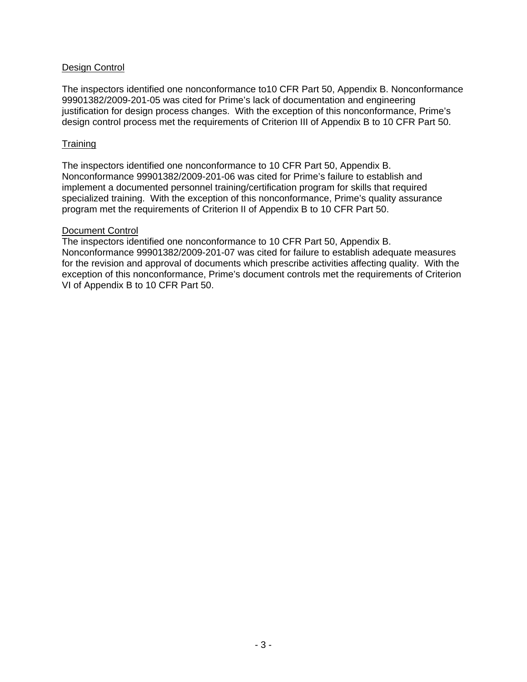# Design Control

The inspectors identified one nonconformance to10 CFR Part 50, Appendix B. Nonconformance 99901382/2009-201-05 was cited for Prime's lack of documentation and engineering justification for design process changes. With the exception of this nonconformance, Prime's design control process met the requirements of Criterion III of Appendix B to 10 CFR Part 50.

### **Training**

The inspectors identified one nonconformance to 10 CFR Part 50, Appendix B. Nonconformance 99901382/2009-201-06 was cited for Prime's failure to establish and implement a documented personnel training/certification program for skills that required specialized training. With the exception of this nonconformance, Prime's quality assurance program met the requirements of Criterion II of Appendix B to 10 CFR Part 50.

## Document Control

The inspectors identified one nonconformance to 10 CFR Part 50, Appendix B. Nonconformance 99901382/2009-201-07 was cited for failure to establish adequate measures for the revision and approval of documents which prescribe activities affecting quality. With the exception of this nonconformance, Prime's document controls met the requirements of Criterion VI of Appendix B to 10 CFR Part 50.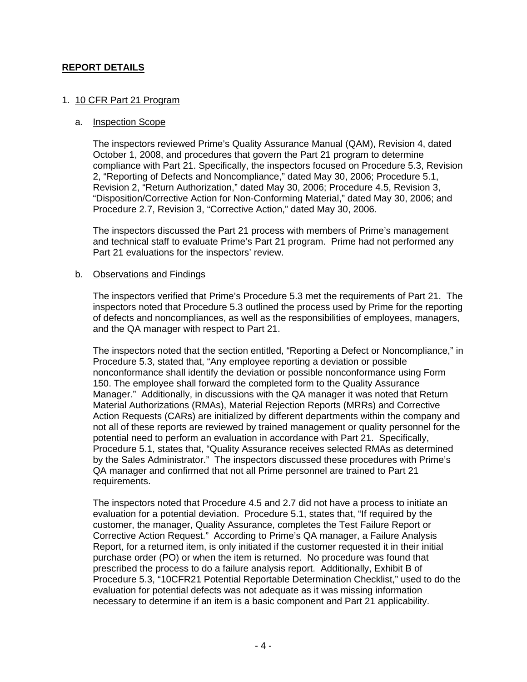# **REPORT DETAILS**

## 1. 10 CFR Part 21 Program

### a. Inspection Scope

The inspectors reviewed Prime's Quality Assurance Manual (QAM), Revision 4, dated October 1, 2008, and procedures that govern the Part 21 program to determine compliance with Part 21. Specifically, the inspectors focused on Procedure 5.3, Revision 2, "Reporting of Defects and Noncompliance," dated May 30, 2006; Procedure 5.1, Revision 2, "Return Authorization," dated May 30, 2006; Procedure 4.5, Revision 3, "Disposition/Corrective Action for Non-Conforming Material," dated May 30, 2006; and Procedure 2.7, Revision 3, "Corrective Action," dated May 30, 2006.

The inspectors discussed the Part 21 process with members of Prime's management and technical staff to evaluate Prime's Part 21 program. Prime had not performed any Part 21 evaluations for the inspectors' review.

### b. Observations and Findings

The inspectors verified that Prime's Procedure 5.3 met the requirements of Part 21. The inspectors noted that Procedure 5.3 outlined the process used by Prime for the reporting of defects and noncompliances, as well as the responsibilities of employees, managers, and the QA manager with respect to Part 21.

The inspectors noted that the section entitled, "Reporting a Defect or Noncompliance," in Procedure 5.3, stated that, "Any employee reporting a deviation or possible nonconformance shall identify the deviation or possible nonconformance using Form 150. The employee shall forward the completed form to the Quality Assurance Manager." Additionally, in discussions with the QA manager it was noted that Return Material Authorizations (RMAs), Material Rejection Reports (MRRs) and Corrective Action Requests (CARs) are initialized by different departments within the company and not all of these reports are reviewed by trained management or quality personnel for the potential need to perform an evaluation in accordance with Part 21. Specifically, Procedure 5.1, states that, "Quality Assurance receives selected RMAs as determined by the Sales Administrator." The inspectors discussed these procedures with Prime's QA manager and confirmed that not all Prime personnel are trained to Part 21 requirements.

The inspectors noted that Procedure 4.5 and 2.7 did not have a process to initiate an evaluation for a potential deviation. Procedure 5.1, states that, "If required by the customer, the manager, Quality Assurance, completes the Test Failure Report or Corrective Action Request." According to Prime's QA manager, a Failure Analysis Report, for a returned item, is only initiated if the customer requested it in their initial purchase order (PO) or when the item is returned. No procedure was found that prescribed the process to do a failure analysis report. Additionally, Exhibit B of Procedure 5.3, "10CFR21 Potential Reportable Determination Checklist," used to do the evaluation for potential defects was not adequate as it was missing information necessary to determine if an item is a basic component and Part 21 applicability.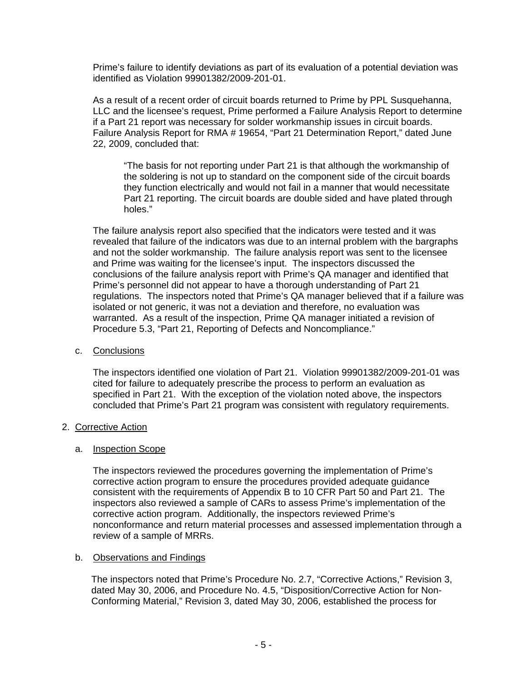Prime's failure to identify deviations as part of its evaluation of a potential deviation was identified as Violation 99901382/2009-201-01.

As a result of a recent order of circuit boards returned to Prime by PPL Susquehanna, LLC and the licensee's request, Prime performed a Failure Analysis Report to determine if a Part 21 report was necessary for solder workmanship issues in circuit boards. Failure Analysis Report for RMA # 19654, "Part 21 Determination Report," dated June 22, 2009, concluded that:

"The basis for not reporting under Part 21 is that although the workmanship of the soldering is not up to standard on the component side of the circuit boards they function electrically and would not fail in a manner that would necessitate Part 21 reporting. The circuit boards are double sided and have plated through holes."

The failure analysis report also specified that the indicators were tested and it was revealed that failure of the indicators was due to an internal problem with the bargraphs and not the solder workmanship. The failure analysis report was sent to the licensee and Prime was waiting for the licensee's input. The inspectors discussed the conclusions of the failure analysis report with Prime's QA manager and identified that Prime's personnel did not appear to have a thorough understanding of Part 21 regulations. The inspectors noted that Prime's QA manager believed that if a failure was isolated or not generic, it was not a deviation and therefore, no evaluation was warranted. As a result of the inspection, Prime QA manager initiated a revision of Procedure 5.3, "Part 21, Reporting of Defects and Noncompliance."

### c. Conclusions

The inspectors identified one violation of Part 21. Violation 99901382/2009-201-01 was cited for failure to adequately prescribe the process to perform an evaluation as specified in Part 21. With the exception of the violation noted above, the inspectors concluded that Prime's Part 21 program was consistent with regulatory requirements.

# 2. Corrective Action

### a. Inspection Scope

The inspectors reviewed the procedures governing the implementation of Prime's corrective action program to ensure the procedures provided adequate guidance consistent with the requirements of Appendix B to 10 CFR Part 50 and Part 21. The inspectors also reviewed a sample of CARs to assess Prime's implementation of the corrective action program. Additionally, the inspectors reviewed Prime's nonconformance and return material processes and assessed implementation through a review of a sample of MRRs.

### b. Observations and Findings

The inspectors noted that Prime's Procedure No. 2.7, "Corrective Actions," Revision 3, dated May 30, 2006, and Procedure No. 4.5, "Disposition/Corrective Action for Non-Conforming Material," Revision 3, dated May 30, 2006, established the process for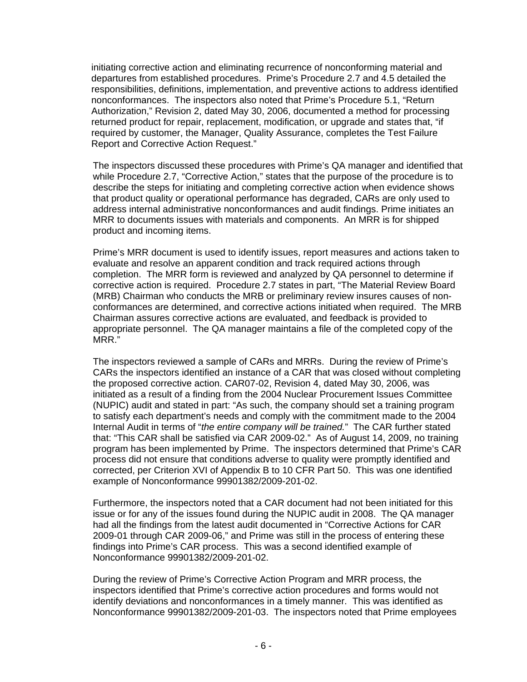initiating corrective action and eliminating recurrence of nonconforming material and departures from established procedures. Prime's Procedure 2.7 and 4.5 detailed the responsibilities, definitions, implementation, and preventive actions to address identified nonconformances. The inspectors also noted that Prime's Procedure 5.1, "Return Authorization," Revision 2, dated May 30, 2006, documented a method for processing returned product for repair, replacement, modification, or upgrade and states that, "if required by customer, the Manager, Quality Assurance, completes the Test Failure Report and Corrective Action Request."

The inspectors discussed these procedures with Prime's QA manager and identified that while Procedure 2.7, "Corrective Action," states that the purpose of the procedure is to describe the steps for initiating and completing corrective action when evidence shows that product quality or operational performance has degraded, CARs are only used to address internal administrative nonconformances and audit findings. Prime initiates an MRR to documents issues with materials and components. An MRR is for shipped product and incoming items.

Prime's MRR document is used to identify issues, report measures and actions taken to evaluate and resolve an apparent condition and track required actions through completion. The MRR form is reviewed and analyzed by QA personnel to determine if corrective action is required. Procedure 2.7 states in part, "The Material Review Board (MRB) Chairman who conducts the MRB or preliminary review insures causes of nonconformances are determined, and corrective actions initiated when required. The MRB Chairman assures corrective actions are evaluated, and feedback is provided to appropriate personnel. The QA manager maintains a file of the completed copy of the MRR."

The inspectors reviewed a sample of CARs and MRRs. During the review of Prime's CARs the inspectors identified an instance of a CAR that was closed without completing the proposed corrective action. CAR07-02, Revision 4, dated May 30, 2006, was initiated as a result of a finding from the 2004 Nuclear Procurement Issues Committee (NUPIC) audit and stated in part: "As such, the company should set a training program to satisfy each department's needs and comply with the commitment made to the 2004 Internal Audit in terms of "*the entire company will be trained.*" The CAR further stated that: "This CAR shall be satisfied via CAR 2009-02." As of August 14, 2009, no training program has been implemented by Prime. The inspectors determined that Prime's CAR process did not ensure that conditions adverse to quality were promptly identified and corrected, per Criterion XVI of Appendix B to 10 CFR Part 50. This was one identified example of Nonconformance 99901382/2009-201-02.

Furthermore, the inspectors noted that a CAR document had not been initiated for this issue or for any of the issues found during the NUPIC audit in 2008. The QA manager had all the findings from the latest audit documented in "Corrective Actions for CAR 2009-01 through CAR 2009-06," and Prime was still in the process of entering these findings into Prime's CAR process. This was a second identified example of Nonconformance 99901382/2009-201-02.

During the review of Prime's Corrective Action Program and MRR process, the inspectors identified that Prime's corrective action procedures and forms would not identify deviations and nonconformances in a timely manner. This was identified as Nonconformance 99901382/2009-201-03. The inspectors noted that Prime employees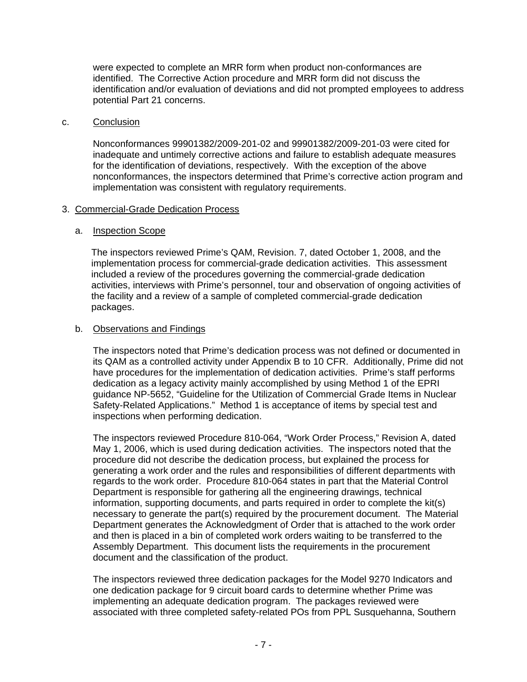were expected to complete an MRR form when product non-conformances are identified. The Corrective Action procedure and MRR form did not discuss the identification and/or evaluation of deviations and did not prompted employees to address potential Part 21 concerns.

### c. Conclusion

Nonconformances 99901382/2009-201-02 and 99901382/2009-201-03 were cited for inadequate and untimely corrective actions and failure to establish adequate measures for the identification of deviations, respectively. With the exception of the above nonconformances, the inspectors determined that Prime's corrective action program and implementation was consistent with regulatory requirements.

# 3. Commercial-Grade Dedication Process

## a. **Inspection Scope**

The inspectors reviewed Prime's QAM, Revision. 7, dated October 1, 2008, and the implementation process for commercial-grade dedication activities. This assessment included a review of the procedures governing the commercial-grade dedication activities, interviews with Prime's personnel, tour and observation of ongoing activities of the facility and a review of a sample of completed commercial-grade dedication packages.

## b. Observations and Findings

The inspectors noted that Prime's dedication process was not defined or documented in its QAM as a controlled activity under Appendix B to 10 CFR. Additionally, Prime did not have procedures for the implementation of dedication activities. Prime's staff performs dedication as a legacy activity mainly accomplished by using Method 1 of the EPRI guidance NP-5652, "Guideline for the Utilization of Commercial Grade Items in Nuclear Safety-Related Applications." Method 1 is acceptance of items by special test and inspections when performing dedication.

The inspectors reviewed Procedure 810-064, "Work Order Process," Revision A, dated May 1, 2006, which is used during dedication activities. The inspectors noted that the procedure did not describe the dedication process, but explained the process for generating a work order and the rules and responsibilities of different departments with regards to the work order. Procedure 810-064 states in part that the Material Control Department is responsible for gathering all the engineering drawings, technical information, supporting documents, and parts required in order to complete the kit(s) necessary to generate the part(s) required by the procurement document. The Material Department generates the Acknowledgment of Order that is attached to the work order and then is placed in a bin of completed work orders waiting to be transferred to the Assembly Department. This document lists the requirements in the procurement document and the classification of the product.

The inspectors reviewed three dedication packages for the Model 9270 Indicators and one dedication package for 9 circuit board cards to determine whether Prime was implementing an adequate dedication program. The packages reviewed were associated with three completed safety-related POs from PPL Susquehanna, Southern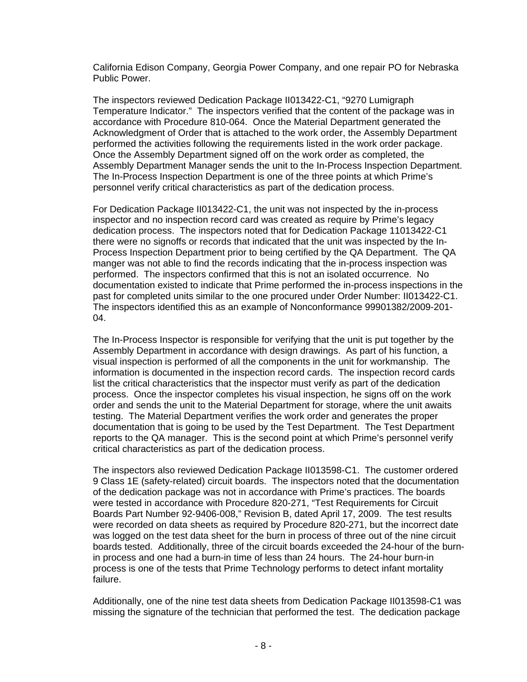California Edison Company, Georgia Power Company, and one repair PO for Nebraska Public Power.

The inspectors reviewed Dedication Package II013422-C1, "9270 Lumigraph Temperature Indicator." The inspectors verified that the content of the package was in accordance with Procedure 810-064. Once the Material Department generated the Acknowledgment of Order that is attached to the work order, the Assembly Department performed the activities following the requirements listed in the work order package. Once the Assembly Department signed off on the work order as completed, the Assembly Department Manager sends the unit to the In-Process Inspection Department. The In-Process Inspection Department is one of the three points at which Prime's personnel verify critical characteristics as part of the dedication process.

For Dedication Package II013422-C1, the unit was not inspected by the in-process inspector and no inspection record card was created as require by Prime's legacy dedication process. The inspectors noted that for Dedication Package 11013422-C1 there were no signoffs or records that indicated that the unit was inspected by the In-Process Inspection Department prior to being certified by the QA Department. The QA manger was not able to find the records indicating that the in-process inspection was performed. The inspectors confirmed that this is not an isolated occurrence. No documentation existed to indicate that Prime performed the in-process inspections in the past for completed units similar to the one procured under Order Number: II013422-C1. The inspectors identified this as an example of Nonconformance 99901382/2009-201- 04.

The In-Process Inspector is responsible for verifying that the unit is put together by the Assembly Department in accordance with design drawings. As part of his function, a visual inspection is performed of all the components in the unit for workmanship. The information is documented in the inspection record cards. The inspection record cards list the critical characteristics that the inspector must verify as part of the dedication process. Once the inspector completes his visual inspection, he signs off on the work order and sends the unit to the Material Department for storage, where the unit awaits testing. The Material Department verifies the work order and generates the proper documentation that is going to be used by the Test Department. The Test Department reports to the QA manager. This is the second point at which Prime's personnel verify critical characteristics as part of the dedication process.

The inspectors also reviewed Dedication Package II013598-C1. The customer ordered 9 Class 1E (safety-related) circuit boards. The inspectors noted that the documentation of the dedication package was not in accordance with Prime's practices. The boards were tested in accordance with Procedure 820-271, "Test Requirements for Circuit Boards Part Number 92-9406-008," Revision B, dated April 17, 2009. The test results were recorded on data sheets as required by Procedure 820-271, but the incorrect date was logged on the test data sheet for the burn in process of three out of the nine circuit boards tested. Additionally, three of the circuit boards exceeded the 24-hour of the burnin process and one had a burn-in time of less than 24 hours. The 24-hour burn-in process is one of the tests that Prime Technology performs to detect infant mortality failure.

Additionally, one of the nine test data sheets from Dedication Package II013598-C1 was missing the signature of the technician that performed the test. The dedication package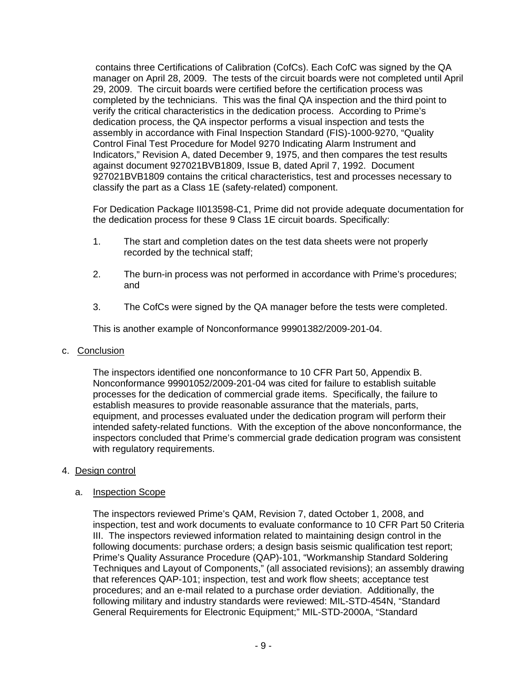contains three Certifications of Calibration (CofCs). Each CofC was signed by the QA manager on April 28, 2009. The tests of the circuit boards were not completed until April 29, 2009. The circuit boards were certified before the certification process was completed by the technicians. This was the final QA inspection and the third point to verify the critical characteristics in the dedication process. According to Prime's dedication process, the QA inspector performs a visual inspection and tests the assembly in accordance with Final Inspection Standard (FIS)-1000-9270, "Quality Control Final Test Procedure for Model 9270 Indicating Alarm Instrument and Indicators," Revision A, dated December 9, 1975, and then compares the test results against document 927021BVB1809, Issue B, dated April 7, 1992. Document 927021BVB1809 contains the critical characteristics, test and processes necessary to classify the part as a Class 1E (safety-related) component.

For Dedication Package II013598-C1, Prime did not provide adequate documentation for the dedication process for these 9 Class 1E circuit boards. Specifically:

- 1. The start and completion dates on the test data sheets were not properly recorded by the technical staff;
- 2. The burn-in process was not performed in accordance with Prime's procedures; and
- 3. The CofCs were signed by the QA manager before the tests were completed.

This is another example of Nonconformance 99901382/2009-201-04.

### c. Conclusion

The inspectors identified one nonconformance to 10 CFR Part 50, Appendix B. Nonconformance 99901052/2009-201-04 was cited for failure to establish suitable processes for the dedication of commercial grade items. Specifically, the failure to establish measures to provide reasonable assurance that the materials, parts, equipment, and processes evaluated under the dedication program will perform their intended safety-related functions. With the exception of the above nonconformance, the inspectors concluded that Prime's commercial grade dedication program was consistent with regulatory requirements.

# 4. Design control

### a. Inspection Scope

The inspectors reviewed Prime's QAM, Revision 7, dated October 1, 2008, and inspection, test and work documents to evaluate conformance to 10 CFR Part 50 Criteria III. The inspectors reviewed information related to maintaining design control in the following documents: purchase orders; a design basis seismic qualification test report; Prime's Quality Assurance Procedure (QAP)-101, "Workmanship Standard Soldering Techniques and Layout of Components," (all associated revisions); an assembly drawing that references QAP-101; inspection, test and work flow sheets; acceptance test procedures; and an e-mail related to a purchase order deviation. Additionally, the following military and industry standards were reviewed: MIL-STD-454N, "Standard General Requirements for Electronic Equipment;" MIL-STD-2000A, "Standard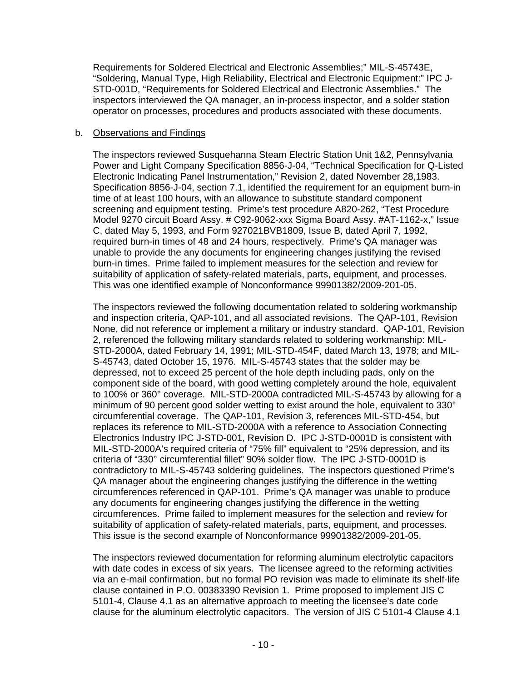Requirements for Soldered Electrical and Electronic Assemblies;" MIL-S-45743E, "Soldering, Manual Type, High Reliability, Electrical and Electronic Equipment:" IPC J-STD-001D, "Requirements for Soldered Electrical and Electronic Assemblies." The inspectors interviewed the QA manager, an in-process inspector, and a solder station operator on processes, procedures and products associated with these documents.

# b. Observations and Findings

The inspectors reviewed Susquehanna Steam Electric Station Unit 1&2, Pennsylvania Power and Light Company Specification 8856-J-04, "Technical Specification for Q-Listed Electronic Indicating Panel Instrumentation," Revision 2, dated November 28,1983. Specification 8856-J-04, section 7.1, identified the requirement for an equipment burn-in time of at least 100 hours, with an allowance to substitute standard component screening and equipment testing. Prime's test procedure A820-262, "Test Procedure Model 9270 circuit Board Assy. # C92-9062-xxx Sigma Board Assy. #AT-1162-x," Issue C, dated May 5, 1993, and Form 927021BVB1809, Issue B, dated April 7, 1992, required burn-in times of 48 and 24 hours, respectively. Prime's QA manager was unable to provide the any documents for engineering changes justifying the revised burn-in times. Prime failed to implement measures for the selection and review for suitability of application of safety-related materials, parts, equipment, and processes. This was one identified example of Nonconformance 99901382/2009-201-05.

The inspectors reviewed the following documentation related to soldering workmanship and inspection criteria, QAP-101, and all associated revisions. The QAP-101, Revision None, did not reference or implement a military or industry standard. QAP-101, Revision 2, referenced the following military standards related to soldering workmanship: MIL-STD-2000A, dated February 14, 1991; MIL-STD-454F, dated March 13, 1978; and MIL-S-45743, dated October 15, 1976. MIL-S-45743 states that the solder may be depressed, not to exceed 25 percent of the hole depth including pads, only on the component side of the board, with good wetting completely around the hole, equivalent to 100% or 360° coverage. MIL-STD-2000A contradicted MIL-S-45743 by allowing for a minimum of 90 percent good solder wetting to exist around the hole, equivalent to 330° circumferential coverage. The QAP-101, Revision 3, references MIL-STD-454, but replaces its reference to MIL-STD-2000A with a reference to Association Connecting Electronics Industry IPC J-STD-001, Revision D. IPC J-STD-0001D is consistent with MIL-STD-2000A's required criteria of "75% fill" equivalent to "25% depression, and its criteria of "330° circumferential fillet" 90% solder flow. The IPC J-STD-0001D is contradictory to MIL-S-45743 soldering guidelines. The inspectors questioned Prime's QA manager about the engineering changes justifying the difference in the wetting circumferences referenced in QAP-101. Prime's QA manager was unable to produce any documents for engineering changes justifying the difference in the wetting circumferences. Prime failed to implement measures for the selection and review for suitability of application of safety-related materials, parts, equipment, and processes. This issue is the second example of Nonconformance 99901382/2009-201-05.

The inspectors reviewed documentation for reforming aluminum electrolytic capacitors with date codes in excess of six years. The licensee agreed to the reforming activities via an e-mail confirmation, but no formal PO revision was made to eliminate its shelf-life clause contained in P.O. 00383390 Revision 1. Prime proposed to implement JIS C 5101-4, Clause 4.1 as an alternative approach to meeting the licensee's date code clause for the aluminum electrolytic capacitors. The version of JIS C 5101-4 Clause 4.1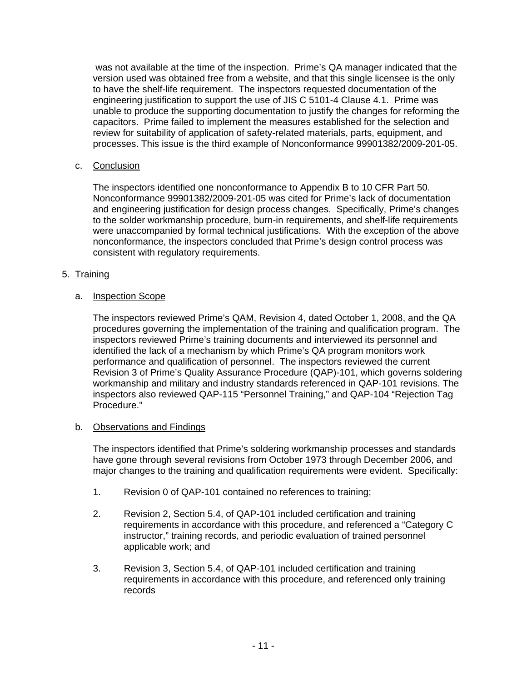was not available at the time of the inspection. Prime's QA manager indicated that the version used was obtained free from a website, and that this single licensee is the only to have the shelf-life requirement. The inspectors requested documentation of the engineering justification to support the use of JIS C 5101-4 Clause 4.1. Prime was unable to produce the supporting documentation to justify the changes for reforming the capacitors. Prime failed to implement the measures established for the selection and review for suitability of application of safety-related materials, parts, equipment, and processes. This issue is the third example of Nonconformance 99901382/2009-201-05.

# c. Conclusion

The inspectors identified one nonconformance to Appendix B to 10 CFR Part 50. Nonconformance 99901382/2009-201-05 was cited for Prime's lack of documentation and engineering justification for design process changes. Specifically, Prime's changes to the solder workmanship procedure, burn-in requirements, and shelf-life requirements were unaccompanied by formal technical justifications. With the exception of the above nonconformance, the inspectors concluded that Prime's design control process was consistent with regulatory requirements.

# 5. Training

# a. Inspection Scope

The inspectors reviewed Prime's QAM, Revision 4, dated October 1, 2008, and the QA procedures governing the implementation of the training and qualification program. The inspectors reviewed Prime's training documents and interviewed its personnel and identified the lack of a mechanism by which Prime's QA program monitors work performance and qualification of personnel. The inspectors reviewed the current Revision 3 of Prime's Quality Assurance Procedure (QAP)-101, which governs soldering workmanship and military and industry standards referenced in QAP-101 revisions. The inspectors also reviewed QAP-115 "Personnel Training," and QAP-104 "Rejection Tag Procedure."

# b. Observations and Findings

The inspectors identified that Prime's soldering workmanship processes and standards have gone through several revisions from October 1973 through December 2006, and major changes to the training and qualification requirements were evident. Specifically:

- 1. Revision 0 of QAP-101 contained no references to training;
- 2. Revision 2, Section 5.4, of QAP-101 included certification and training requirements in accordance with this procedure, and referenced a "Category C instructor," training records, and periodic evaluation of trained personnel applicable work; and
- 3. Revision 3, Section 5.4, of QAP-101 included certification and training requirements in accordance with this procedure, and referenced only training records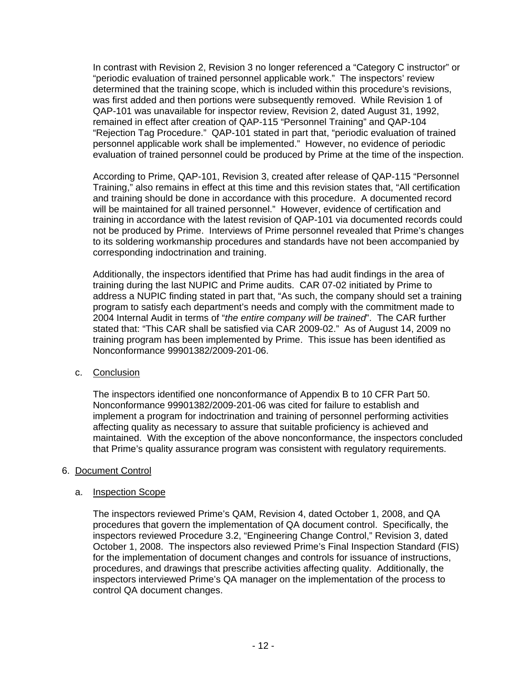In contrast with Revision 2, Revision 3 no longer referenced a "Category C instructor" or "periodic evaluation of trained personnel applicable work." The inspectors' review determined that the training scope, which is included within this procedure's revisions, was first added and then portions were subsequently removed. While Revision 1 of QAP-101 was unavailable for inspector review, Revision 2, dated August 31, 1992, remained in effect after creation of QAP-115 "Personnel Training" and QAP-104 "Rejection Tag Procedure." QAP-101 stated in part that, "periodic evaluation of trained personnel applicable work shall be implemented." However, no evidence of periodic evaluation of trained personnel could be produced by Prime at the time of the inspection.

According to Prime, QAP-101, Revision 3, created after release of QAP-115 "Personnel Training," also remains in effect at this time and this revision states that, "All certification and training should be done in accordance with this procedure. A documented record will be maintained for all trained personnel." However, evidence of certification and training in accordance with the latest revision of QAP-101 via documented records could not be produced by Prime. Interviews of Prime personnel revealed that Prime's changes to its soldering workmanship procedures and standards have not been accompanied by corresponding indoctrination and training.

Additionally, the inspectors identified that Prime has had audit findings in the area of training during the last NUPIC and Prime audits. CAR 07-02 initiated by Prime to address a NUPIC finding stated in part that, "As such, the company should set a training program to satisfy each department's needs and comply with the commitment made to 2004 Internal Audit in terms of "*the entire company will be trained*". The CAR further stated that: "This CAR shall be satisfied via CAR 2009-02." As of August 14, 2009 no training program has been implemented by Prime. This issue has been identified as Nonconformance 99901382/2009-201-06.

# c. Conclusion

The inspectors identified one nonconformance of Appendix B to 10 CFR Part 50. Nonconformance 99901382/2009-201-06 was cited for failure to establish and implement a program for indoctrination and training of personnel performing activities affecting quality as necessary to assure that suitable proficiency is achieved and maintained. With the exception of the above nonconformance, the inspectors concluded that Prime's quality assurance program was consistent with regulatory requirements.

# 6. Document Control

### a. Inspection Scope

The inspectors reviewed Prime's QAM, Revision 4, dated October 1, 2008, and QA procedures that govern the implementation of QA document control. Specifically, the inspectors reviewed Procedure 3.2, "Engineering Change Control," Revision 3, dated October 1, 2008. The inspectors also reviewed Prime's Final Inspection Standard (FIS) for the implementation of document changes and controls for issuance of instructions, procedures, and drawings that prescribe activities affecting quality. Additionally, the inspectors interviewed Prime's QA manager on the implementation of the process to control QA document changes.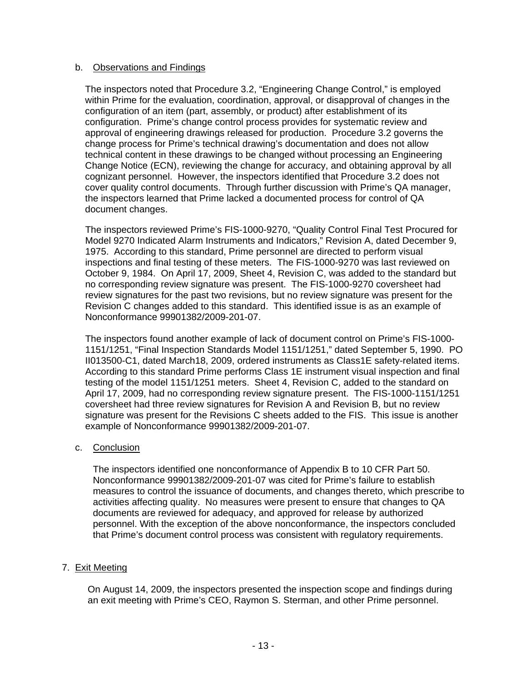## b. Observations and Findings

 The inspectors noted that Procedure 3.2, "Engineering Change Control," is employed within Prime for the evaluation, coordination, approval, or disapproval of changes in the configuration of an item (part, assembly, or product) after establishment of its configuration. Prime's change control process provides for systematic review and approval of engineering drawings released for production. Procedure 3.2 governs the change process for Prime's technical drawing's documentation and does not allow technical content in these drawings to be changed without processing an Engineering Change Notice (ECN), reviewing the change for accuracy, and obtaining approval by all cognizant personnel. However, the inspectors identified that Procedure 3.2 does not cover quality control documents. Through further discussion with Prime's QA manager, the inspectors learned that Prime lacked a documented process for control of QA document changes.

The inspectors reviewed Prime's FIS-1000-9270, "Quality Control Final Test Procured for Model 9270 Indicated Alarm Instruments and Indicators," Revision A, dated December 9, 1975. According to this standard, Prime personnel are directed to perform visual inspections and final testing of these meters. The FIS-1000-9270 was last reviewed on October 9, 1984. On April 17, 2009, Sheet 4, Revision C, was added to the standard but no corresponding review signature was present. The FIS-1000-9270 coversheet had review signatures for the past two revisions, but no review signature was present for the Revision C changes added to this standard. This identified issue is as an example of Nonconformance 99901382/2009-201-07.

The inspectors found another example of lack of document control on Prime's FIS-1000- 1151/1251, "Final Inspection Standards Model 1151/1251," dated September 5, 1990. PO II013500-C1, dated March18, 2009, ordered instruments as Class1E safety-related items. According to this standard Prime performs Class 1E instrument visual inspection and final testing of the model 1151/1251 meters. Sheet 4, Revision C, added to the standard on April 17, 2009, had no corresponding review signature present. The FIS-1000-1151/1251 coversheet had three review signatures for Revision A and Revision B, but no review signature was present for the Revisions C sheets added to the FIS. This issue is another example of Nonconformance 99901382/2009-201-07.

### c. Conclusion

The inspectors identified one nonconformance of Appendix B to 10 CFR Part 50. Nonconformance 99901382/2009-201-07 was cited for Prime's failure to establish measures to control the issuance of documents, and changes thereto, which prescribe to activities affecting quality. No measures were present to ensure that changes to QA documents are reviewed for adequacy, and approved for release by authorized personnel. With the exception of the above nonconformance, the inspectors concluded that Prime's document control process was consistent with regulatory requirements.

# 7. Exit Meeting

On August 14, 2009, the inspectors presented the inspection scope and findings during an exit meeting with Prime's CEO, Raymon S. Sterman, and other Prime personnel.